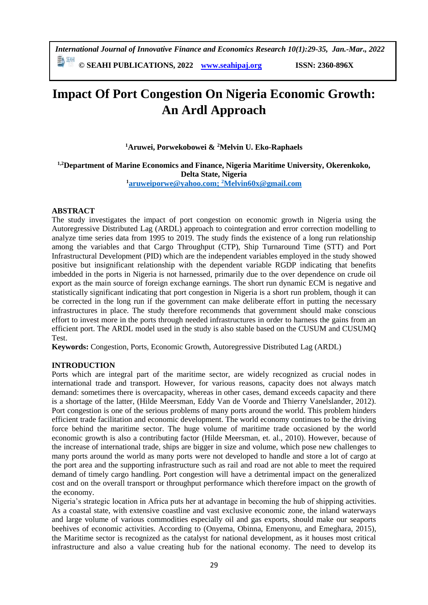*International Journal of Innovative Finance and Economics Research 10(1):29-35, Jan.-Mar., 2022*

**© SEAHI PUBLICATIONS, 2022 [www.seahipaj.org](http://www.seahipaj.org/) ISSN: 2360-896X**

# **Impact Of Port Congestion On Nigeria Economic Growth: An Ardl Approach**

**<sup>1</sup>Aruwei, Porwekobowei & <sup>2</sup>Melvin U. Eko-Raphaels**

**1,2Department of Marine Economics and Finance, Nigeria Maritime University, Okerenkoko, Delta State, Nigeria**

**<sup>1</sup>[aruweiporwe@yahoo.com;](mailto:aruweiporwe@yahoo.com) <sup>2</sup>[Melvin60x@gmail.com](mailto:Melvin60x@gmail.com)**

## **ABSTRACT**

The study investigates the impact of port congestion on economic growth in Nigeria using the Autoregressive Distributed Lag (ARDL) approach to cointegration and error correction modelling to analyze time series data from 1995 to 2019. The study finds the existence of a long run relationship among the variables and that Cargo Throughput (CTP), Ship Turnaround Time (STT) and Port Infrastructural Development (PID) which are the independent variables employed in the study showed positive but insignificant relationship with the dependent variable RGDP indicating that benefits imbedded in the ports in Nigeria is not harnessed, primarily due to the over dependence on crude oil export as the main source of foreign exchange earnings. The short run dynamic ECM is negative and statistically significant indicating that port congestion in Nigeria is a short run problem, though it can be corrected in the long run if the government can make deliberate effort in putting the necessary infrastructures in place. The study therefore recommends that government should make conscious effort to invest more in the ports through needed infrastructures in order to harness the gains from an efficient port. The ARDL model used in the study is also stable based on the CUSUM and CUSUMQ Test.

**Keywords:** Congestion, Ports, Economic Growth, Autoregressive Distributed Lag (ARDL)

## **INTRODUCTION**

Ports which are integral part of the maritime sector, are widely recognized as crucial nodes in international trade and transport. However, for various reasons, capacity does not always match demand: sometimes there is overcapacity, whereas in other cases, demand exceeds capacity and there is a shortage of the latter, (Hilde Meersman, Eddy Van de Voorde and Thierry Vanelslander, 2012). Port congestion is one of the serious problems of many ports around the world. This problem hinders efficient trade facilitation and economic development. The world economy continues to be the driving force behind the maritime sector. The huge volume of maritime trade occasioned by the world economic growth is also a contributing factor (Hilde Meersman, et. al., 2010). However, because of the increase of international trade, ships are bigger in size and volume, which pose new challenges to many ports around the world as many ports were not developed to handle and store a lot of cargo at the port area and the supporting infrastructure such as rail and road are not able to meet the required demand of timely cargo handling. Port congestion will have a detrimental impact on the generalized cost and on the overall transport or throughput performance which therefore impact on the growth of the economy.

Nigeria's strategic location in Africa puts her at advantage in becoming the hub of shipping activities. As a coastal state, with extensive coastline and vast exclusive economic zone, the inland waterways and large volume of various commodities especially oil and gas exports, should make our seaports beehives of economic activities. According to (Onyema, Obinna, Emenyonu, and Emeghara, 2015), the Maritime sector is recognized as the catalyst for national development, as it houses most critical infrastructure and also a value creating hub for the national economy. The need to develop its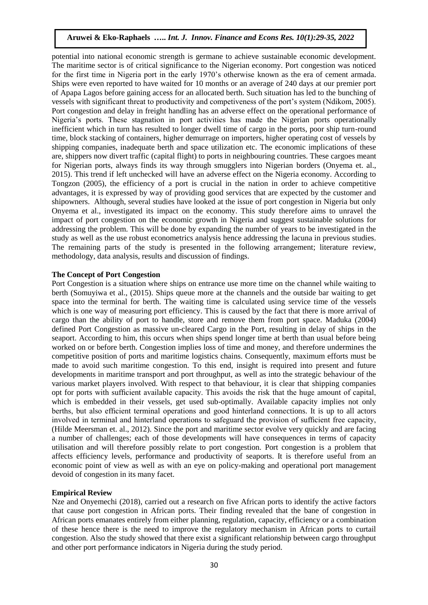potential into national economic strength is germane to achieve sustainable economic development. The maritime sector is of critical significance to the Nigerian economy. Port congestion was noticed for the first time in Nigeria port in the early 1970's otherwise known as the era of cement armada. Ships were even reported to have waited for 10 months or an average of 240 days at our premier port of Apapa Lagos before gaining access for an allocated berth. Such situation has led to the bunching of vessels with significant threat to productivity and competiveness of the port's system (Ndikom, 2005). Port congestion and delay in freight handling has an adverse effect on the operational performance of Nigeria's ports. These stagnation in port activities has made the Nigerian ports operationally inefficient which in turn has resulted to longer dwell time of cargo in the ports, poor ship turn-round time, block stacking of containers, higher demurrage on importers, higher operating cost of vessels by shipping companies, inadequate berth and space utilization etc. The economic implications of these are, shippers now divert traffic (capital flight) to ports in neighbouring countries. These cargoes meant for Nigerian ports, always finds its way through smugglers into Nigerian borders (Onyema et. al., 2015). This trend if left unchecked will have an adverse effect on the Nigeria economy. According to Tongzon (2005), the efficiency of a port is crucial in the nation in order to achieve competitive advantages, it is expressed by way of providing good services that are expected by the customer and shipowners. Although, several studies have looked at the issue of port congestion in Nigeria but only Onyema et al., investigated its impact on the economy. This study therefore aims to unravel the impact of port congestion on the economic growth in Nigeria and suggest sustainable solutions for addressing the problem. This will be done by expanding the number of years to be investigated in the study as well as the use robust econometrics analysis hence addressing the lacuna in previous studies. The remaining parts of the study is presented in the following arrangement; literature review, methodology, data analysis, results and discussion of findings.

## **The Concept of Port Congestion**

Port Congestion is a situation where ships on entrance use more time on the channel while waiting to berth (Somuyiwa et al., (2015). Ships queue more at the channels and the outside bar waiting to get space into the terminal for berth. The waiting time is calculated using service time of the vessels which is one way of measuring port efficiency. This is caused by the fact that there is more arrival of cargo than the ability of port to handle, store and remove them from port space. Maduka (2004) defined Port Congestion as massive un-cleared Cargo in the Port, resulting in delay of ships in the seaport. According to him, this occurs when ships spend longer time at berth than usual before being worked on or before berth. Congestion implies loss of time and money, and therefore undermines the competitive position of ports and maritime logistics chains. Consequently, maximum efforts must be made to avoid such maritime congestion. To this end, insight is required into present and future developments in maritime transport and port throughput, as well as into the strategic behaviour of the various market players involved. With respect to that behaviour, it is clear that shipping companies opt for ports with sufficient available capacity. This avoids the risk that the huge amount of capital, which is embedded in their vessels, get used sub-optimally. Available capacity implies not only berths, but also efficient terminal operations and good hinterland connections. It is up to all actors involved in terminal and hinterland operations to safeguard the provision of sufficient free capacity, (Hilde Meersman et. al., 2012). Since the port and maritime sector evolve very quickly and are facing a number of challenges; each of those developments will have consequences in terms of capacity utilisation and will therefore possibly relate to port congestion. Port congestion is a problem that affects efficiency levels, performance and productivity of seaports. It is therefore useful from an economic point of view as well as with an eye on policy-making and operational port management devoid of congestion in its many facet.

## **Empirical Review**

Nze and Onyemechi (2018), carried out a research on five African ports to identify the active factors that cause port congestion in African ports. Their finding revealed that the bane of congestion in African ports emanates entirely from either planning, regulation, capacity, efficiency or a combination of these hence there is the need to improve the regulatory mechanism in African ports to curtail congestion. Also the study showed that there exist a significant relationship between cargo throughput and other port performance indicators in Nigeria during the study period.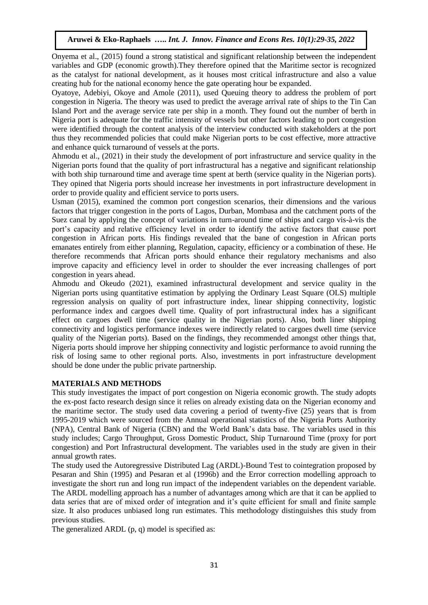Onyema et al., (2015) found a strong statistical and significant relationship between the independent variables and GDP (economic growth).They therefore opined that the Maritime sector is recognized as the catalyst for national development, as it houses most critical infrastructure and also a value creating hub for the national economy hence the gate operating hour be expanded.

Oyatoye, Adebiyi, Okoye and Amole (2011), used Queuing theory to address the problem of port congestion in Nigeria. The theory was used to predict the average arrival rate of ships to the Tin Can Island Port and the average service rate per ship in a month. They found out the number of berth in Nigeria port is adequate for the traffic intensity of vessels but other factors leading to port congestion were identified through the content analysis of the interview conducted with stakeholders at the port thus they recommended policies that could make Nigerian ports to be cost effective, more attractive and enhance quick turnaround of vessels at the ports.

Ahmodu et al., (2021) in their study the development of port infrastructure and service quality in the Nigerian ports found that the quality of port infrastructural has a negative and significant relationship with both ship turnaround time and average time spent at berth (service quality in the Nigerian ports). They opined that Nigeria ports should increase her investments in port infrastructure development in order to provide quality and efficient service to ports users.

Usman (2015), examined the common port congestion scenarios, their dimensions and the various factors that trigger congestion in the ports of Lagos, Durban, Mombasa and the catchment ports of the Suez canal by applying the concept of variations in turn-around time of ships and cargo vis-à-vis the port's capacity and relative efficiency level in order to identify the active factors that cause port congestion in African ports. His findings revealed that the bane of congestion in African ports emanates entirely from either planning, Regulation, capacity, efficiency or a combination of these. He therefore recommends that African ports should enhance their regulatory mechanisms and also improve capacity and efficiency level in order to shoulder the ever increasing challenges of port congestion in years ahead.

Ahmodu and Okeudo (2021), examined infrastructural development and service quality in the Nigerian ports using quantitative estimation by applying the Ordinary Least Square (OLS) multiple regression analysis on quality of port infrastructure index, linear shipping connectivity, logistic performance index and cargoes dwell time. Quality of port infrastructural index has a significant effect on cargoes dwell time (service quality in the Nigerian ports). Also, both liner shipping connectivity and logistics performance indexes were indirectly related to cargoes dwell time (service quality of the Nigerian ports). Based on the findings, they recommended amongst other things that, Nigeria ports should improve her shipping connectivity and logistic performance to avoid running the risk of losing same to other regional ports. Also, investments in port infrastructure development should be done under the public private partnership.

## **MATERIALS AND METHODS**

This study investigates the impact of port congestion on Nigeria economic growth. The study adopts the ex-post facto research design since it relies on already existing data on the Nigerian economy and the maritime sector. The study used data covering a period of twenty-five (25) years that is from 1995-2019 which were sourced from the Annual operational statistics of the Nigeria Ports Authority (NPA), Central Bank of Nigeria (CBN) and the World Bank's data base. The variables used in this study includes; Cargo Throughput, Gross Domestic Product, Ship Turnaround Time (proxy for port congestion) and Port Infrastructural development. The variables used in the study are given in their annual growth rates.

The study used the Autoregressive Distributed Lag (ARDL)-Bound Test to cointegration proposed by Pesaran and Shin (1995) and Pesaran et al (1996b) and the Error correction modelling approach to investigate the short run and long run impact of the independent variables on the dependent variable. The ARDL modelling approach has a number of advantages among which are that it can be applied to data series that are of mixed order of integration and it's quite efficient for small and finite sample size. It also produces unbiased long run estimates. This methodology distinguishes this study from previous studies.

The generalized ARDL (p, q) model is specified as: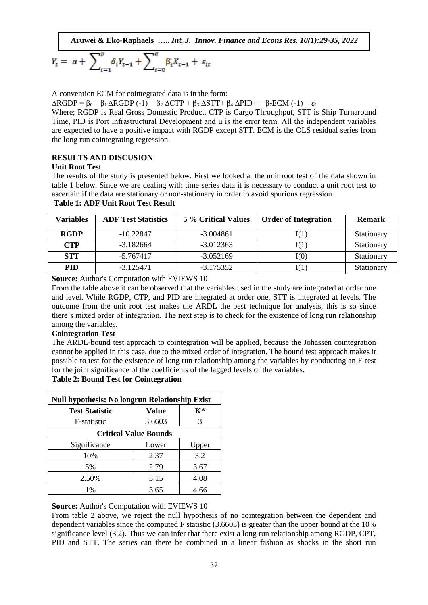$$
Y_{t} = \alpha + \sum_{i=1}^{p} \delta_{i} Y_{t-1} + \sum_{i=0}^{q} \beta'_{i} X_{t-1} + \varepsilon_{it}
$$

A convention ECM for cointegrated data is in the form:

 $\triangle$ RGDP =  $\beta_0 + \beta_1 \triangle$ RGDP (-1) +  $\beta_2 \triangle$ CTP +  $\beta_3 \triangle$ STT+  $\beta_4 \triangle$ PID+ +  $\beta_7$ ECM (-1) +  $\varepsilon_1$ 

Where; RGDP is Real Gross Domestic Product, CTP is Cargo Throughput, STT is Ship Turnaround Time, PID is Port Infrastructural Development and μ is the error term. All the independent variables are expected to have a positive impact with RGDP except STT. ECM is the OLS residual series from the long run cointegrating regression.

## **RESULTS AND DISCUSION**

#### **Unit Root Test**

The results of the study is presented below. First we looked at the unit root test of the data shown in table 1 below. Since we are dealing with time series data it is necessary to conduct a unit root test to ascertain if the data are stationary or non-stationary in order to avoid spurious regression.

| <b>Table 1: ADF Unit Root Test Result</b> |
|-------------------------------------------|
|-------------------------------------------|

| <b>Variables</b> | <b>ADF Test Statistics</b> | 5 % Critical Values | <b>Order of Integration</b> | <b>Remark</b> |
|------------------|----------------------------|---------------------|-----------------------------|---------------|
| <b>RGDP</b>      | $-10.22847$                | $-3.004861$         | $\mathrm{I}(1)$             | Stationary    |
| <b>CTP</b>       | $-3.182664$                | $-3.012363$         | $\mathrm{I}(1)$             | Stationary    |
| <b>STT</b>       | $-5.767417$                | $-3.052169$         | I(0)                        | Stationary    |
| <b>PID</b>       | $-3.125471$                | $-3.175352$         | I(1)                        | Stationary    |

**Source:** Author's Computation with EVIEWS 10

From the table above it can be observed that the variables used in the study are integrated at order one and level. While RGDP, CTP, and PID are integrated at order one, STT is integrated at levels. The outcome from the unit root test makes the ARDL the best technique for analysis, this is so since there's mixed order of integration. The next step is to check for the existence of long run relationship among the variables.

## **Cointegration Test**

The ARDL-bound test approach to cointegration will be applied, because the Johassen cointegration cannot be applied in this case, due to the mixed order of integration. The bound test approach makes it possible to test for the existence of long run relationship among the variables by conducting an F-test for the joint significance of the coefficients of the lagged levels of the variables.

## **Table 2: Bound Test for Cointegration**

| <b>Null hypothesis: No longrun Relationship Exist</b> |        |                |  |  |
|-------------------------------------------------------|--------|----------------|--|--|
| <b>Test Statistic</b>                                 | Value  | $\mathbf{K}^*$ |  |  |
| F-statistic                                           | 3.6603 | 3              |  |  |
| <b>Critical Value Bounds</b>                          |        |                |  |  |
| Significance                                          | Lower  | Upper          |  |  |
| 10%                                                   | 2.37   | 3.2            |  |  |
| 5%                                                    | 2.79   | 3.67           |  |  |
| 2.50%                                                 | 3.15   | 4.08           |  |  |
| 1%                                                    | 3.65   | 4.66           |  |  |

## **Source:** Author's Computation with EVIEWS 10

From table 2 above, we reject the null hypothesis of no cointegration between the dependent and dependent variables since the computed F statistic (3.6603) is greater than the upper bound at the 10% significance level (3.2). Thus we can infer that there exist a long run relationship among RGDP, CPT, PID and STT. The series can there be combined in a linear fashion as shocks in the short run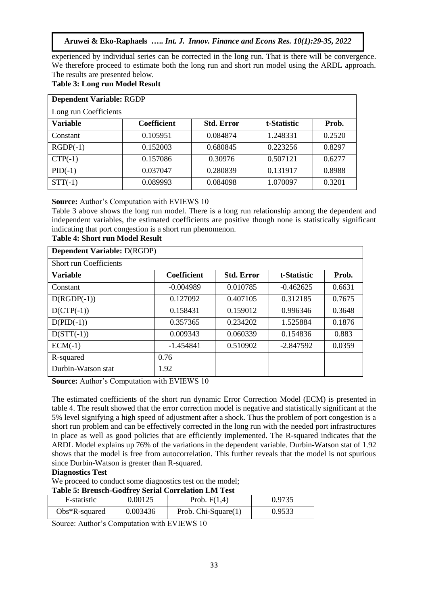experienced by individual series can be corrected in the long run. That is there will be convergence. We therefore proceed to estimate both the long run and short run model using the ARDL approach. The results are presented below.

# **Table 3: Long run Model Result**

| <b>Dependent Variable: RGDP</b> |                    |                   |             |        |
|---------------------------------|--------------------|-------------------|-------------|--------|
| Long run Coefficients           |                    |                   |             |        |
| <b>Variable</b>                 | <b>Coefficient</b> | <b>Std. Error</b> | t-Statistic | Prob.  |
| Constant                        | 0.105951           | 0.084874          | 1.248331    | 0.2520 |
| $RGDP(-1)$                      | 0.152003           | 0.680845          | 0.223256    | 0.8297 |
| $CTP(-1)$                       | 0.157086           | 0.30976           | 0.507121    | 0.6277 |
| $PID(-1)$                       | 0.037047           | 0.280839          | 0.131917    | 0.8988 |
| $STT(-1)$                       | 0.089993           | 0.084098          | 1.070097    | 0.3201 |

## **Source:** Author's Computation with EVIEWS 10

Table 3 above shows the long run model. There is a long run relationship among the dependent and independent variables, the estimated coefficients are positive though none is statistically significant indicating that port congestion is a short run phenomenon.

# **Table 4: Short run Model Result**

| <b>Dependent Variable: D(RGDP)</b> |                    |                   |             |        |
|------------------------------------|--------------------|-------------------|-------------|--------|
| <b>Short run Coefficients</b>      |                    |                   |             |        |
| Variable                           | <b>Coefficient</b> | <b>Std. Error</b> | t-Statistic | Prob.  |
| Constant                           | $-0.004989$        | 0.010785          | $-0.462625$ | 0.6631 |
| $D(RGDP(-1))$                      | 0.127092           | 0.407105          | 0.312185    | 0.7675 |
| $D(CTP(-1))$                       | 0.158431           | 0.159012          | 0.996346    | 0.3648 |
| $D(PID(-1))$                       | 0.357365           | 0.234202          | 1.525884    | 0.1876 |
| $D(STT(-1))$                       | 0.009343           | 0.060339          | 0.154836    | 0.883  |
| $ECM(-1)$                          | $-1.454841$        | 0.510902          | $-2.847592$ | 0.0359 |
| R-squared                          | 0.76               |                   |             |        |
| Durbin-Watson stat                 | 1.92               |                   |             |        |

**Source:** Author's Computation with EVIEWS 10

The estimated coefficients of the short run dynamic Error Correction Model (ECM) is presented in table 4. The result showed that the error correction model is negative and statistically significant at the 5% level signifying a high speed of adjustment after a shock. Thus the problem of port congestion is a short run problem and can be effectively corrected in the long run with the needed port infrastructures in place as well as good policies that are efficiently implemented. The R-squared indicates that the ARDL Model explains up 76% of the variations in the dependent variable. Durbin-Watson stat of 1.92 shows that the model is free from autocorrelation. This further reveals that the model is not spurious since Durbin-Watson is greater than R-squared.

# **Diagnostics Test**

We proceed to conduct some diagnostics test on the model;

| <b>Table 5: Breusch-Godfrey Serial Correlation LM Test</b> |          |                       |        |  |
|------------------------------------------------------------|----------|-----------------------|--------|--|
| F-statistic                                                | 0.00125  | Prob. $F(1,4)$        | 0.9735 |  |
| $Obs*R$ -squared                                           | 0.003436 | Prob. $Chi-Square(1)$ | 0.9533 |  |

Source: Author's Computation with EVIEWS 10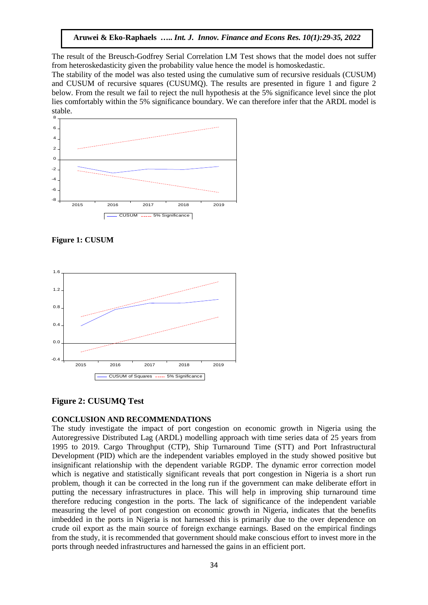The result of the Breusch-Godfrey Serial Correlation LM Test shows that the model does not suffer from heteroskedasticity given the probability value hence the model is homoskedastic.

The stability of the model was also tested using the cumulative sum of recursive residuals (CUSUM) and CUSUM of recursive squares (CUSUMQ). The results are presented in figure 1 and figure 2 below. From the result we fail to reject the null hypothesis at the 5% significance level since the plot lies comfortably within the 5% significance boundary. We can therefore infer that the ARDL model is stable.



**Figure 1: CUSUM**



# **Figure 2: CUSUMQ Test**

#### **CONCLUSION AND RECOMMENDATIONS**

The study investigate the impact of port congestion on economic growth in Nigeria using the Autoregressive Distributed Lag (ARDL) modelling approach with time series data of 25 years from 1995 to 2019. Cargo Throughput (CTP), Ship Turnaround Time (STT) and Port Infrastructural Development (PID) which are the independent variables employed in the study showed positive but insignificant relationship with the dependent variable RGDP. The dynamic error correction model which is negative and statistically significant reveals that port congestion in Nigeria is a short run problem, though it can be corrected in the long run if the government can make deliberate effort in putting the necessary infrastructures in place. This will help in improving ship turnaround time therefore reducing congestion in the ports. The lack of significance of the independent variable measuring the level of port congestion on economic growth in Nigeria, indicates that the benefits imbedded in the ports in Nigeria is not harnessed this is primarily due to the over dependence on crude oil export as the main source of foreign exchange earnings. Based on the empirical findings from the study, it is recommended that government should make conscious effort to invest more in the ports through needed infrastructures and harnessed the gains in an efficient port.